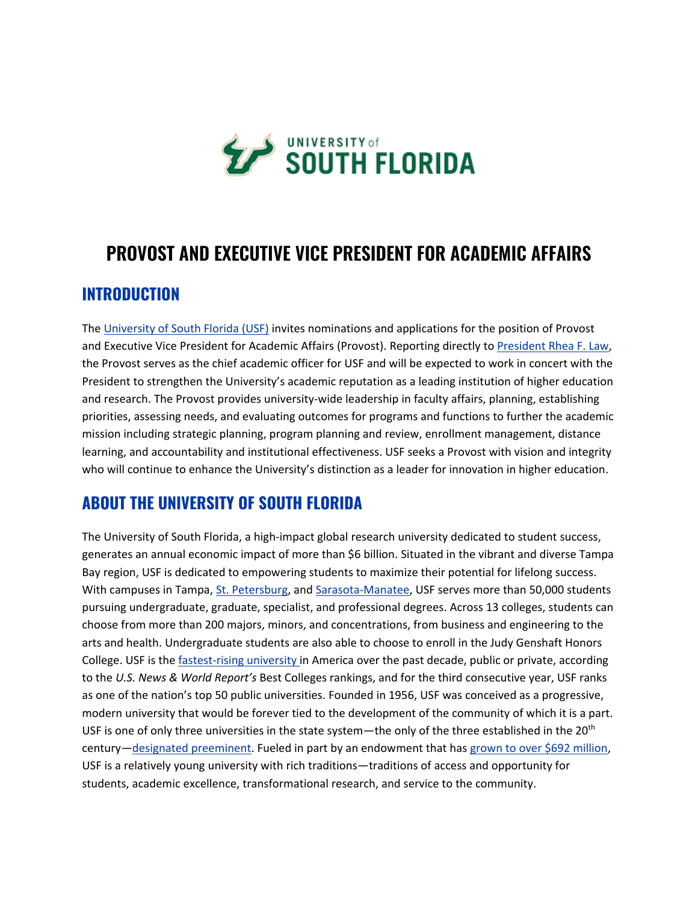

# **PROVOST AND EXECUTIVE VICE PRESIDENT FOR ACADEMIC AFFAIRS**

### **INTRODUCTION**

The [University of South Florida \(USF\)](https://www.usf.edu/) invites nominations and applications for the position of Provost and Executive Vice President for Academic Affairs (Provost). Reporting directly to President [Rhea F. Law,](https://www.usf.edu/president/) the Provost serves as the chief academic officer for USF and will be expected to work in concert with the President to strengthen the University's academic reputation as a leading institution of higher education and research. The Provost provides university-wide leadership in faculty affairs, planning, establishing priorities, assessing needs, and evaluating outcomes for programs and functions to further the academic mission including strategic planning, program planning and review, enrollment management, distance learning, and accountability and institutional effectiveness. USF seeks a Provost with vision and integrity who will continue to enhance the University's distinction as a leader for innovation in higher education.

## **ABOUT THE UNIVERSITY OF SOUTH FLORIDA**

The University of South Florida, a high-impact global research university dedicated to student success, generates an annual economic impact of more than \$6 billion. Situated in the vibrant and diverse Tampa Bay region, USF is dedicated to empowering students to maximize their potential for lifelong success. With campuses in Tampa, [St. Petersburg,](https://www.stpetersburg.usf.edu/index.aspx) and [Sarasota-Manatee,](https://www.sarasotamanatee.usf.edu/index.aspx) USF serves more than 50,000 students pursuing undergraduate, graduate, specialist, and professional degrees. Across 13 colleges, students can choose from more than 200 majors, minors, and concentrations, from business and engineering to the arts and health. Undergraduate students are also able to choose to enroll in the Judy Genshaft Honors College. USF is the *[fastest-rising university](https://www.usf.edu/news/2021/us-news-world-report-ranks-usf-americas-fastest-rising-university.aspx) in America over the past decade, public or private, according* to the *U.S. News & World Report's* Best Colleges rankings, and for the third consecutive year, USF ranks as one of the nation's top 50 public universities. Founded in 1956, USF was conceived as a progressive, modern university that would be forever tied to the development of the community of which it is a part. USF is one of only three universities in the state system—the only of the three established in the 20<sup>th</sup> century—[designated preeminent.](https://admissions.usf.edu/blog/what-is-preeminence-and-why-it-matters-to-you) Fueled in part by an endowment that has [grown to over \\$692 million,](https://foundation.usf.edu/reports/performance20/) USF is a relatively young university with rich traditions—traditions of access and opportunity for students, academic excellence, transformational research, and service to the community.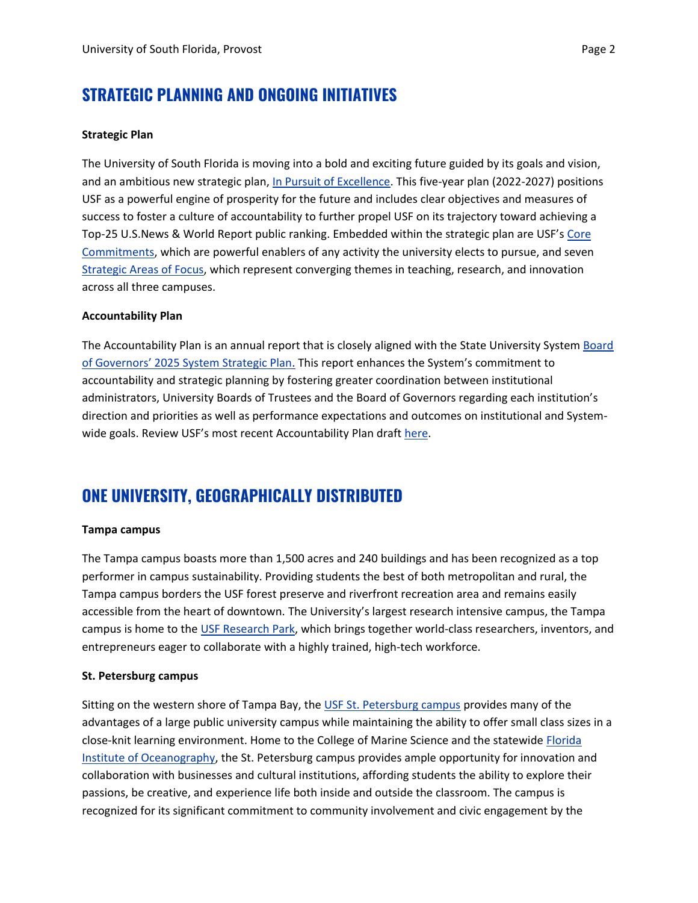## **STRATEGIC PLANNING AND ONGOING INITIATIVES**

### **Strategic Plan**

The University of South Florida is moving into a bold and exciting future guided by its goals and vision, and an ambitious new strategic plan, [In Pursuit of Excellence.](https://www.usf.edu/strategic-plan/) This five-year plan (2022-2027) positions USF as a powerful engine of prosperity for the future and includes clear objectives and measures of success to foster a culture of accountability to further propel USF on its trajectory toward achieving a Top-25 U.S.News & World Report public ranking. Embedded within the strategic plan are USF's [Core](https://www.usf.edu/strategic-plan/about/core-commitments/index.aspx)  [Commitments,](https://www.usf.edu/strategic-plan/about/core-commitments/index.aspx) which are powerful enablers of any activity the university elects to pursue, and seven [Strategic Areas of Focus,](https://www.usf.edu/strategic-plan/about/strategic-areas-of-focus/index.aspx) which represent converging themes in teaching, research, and innovation across all three campuses.

#### **Accountability Plan**

The Accountability Plan is an annual report that is closely aligned with the State University System [Board](https://www.flbog.edu/board/strategic-plan/)  [of Governors' 2025 System Strategic Plan](https://www.flbog.edu/board/strategic-plan/). This report enhances the System's commitment to accountability and strategic planning by fostering greater coordination between institutional administrators, University Boards of Trustees and the Board of Governors regarding each institution's direction and priorities as well as performance expectations and outcomes on institutional and Systemwide goals. Review USF's most recent Accountability Plan draft [here.](https://www.usf.edu/board-of-trustees/documents/meetings/ace/20220419-ace-workshop.pdf)

### **ONE UNIVERSITY, GEOGRAPHICALLY DISTRIBUTED**

#### **Tampa campus**

The Tampa campus boasts more than 1,500 acres and 240 buildings and has been recognized as a top performer in campus sustainability. Providing students the best of both metropolitan and rural, the Tampa campus borders the USF forest preserve and riverfront recreation area and remains easily accessible from the heart of downtown. The University's largest research intensive campus, the Tampa campus is home to the [USF Research Park,](https://www.usf.edu/research-innovation/rf/research-park/) which brings together world-class researchers, inventors, and entrepreneurs eager to collaborate with a highly trained, high-tech workforce.

#### **St. Petersburg campus**

Sitting on the western shore of Tampa Bay, the USF [St. Petersburg campus](https://www.stpetersburg.usf.edu/index.aspx) provides many of the advantages of a large public university campus while maintaining the ability to offer small class sizes in a close-knit learning environment. Home to the College of Marine Science and the statewide [Florida](https://www.fio.usf.edu/)  [Institute of Oceanography,](https://www.fio.usf.edu/) the St. Petersburg campus provides ample opportunity for innovation and collaboration with businesses and cultural institutions, affording students the ability to explore their passions, be creative, and experience life both inside and outside the classroom. The campus is recognized for its significant commitment to community involvement and civic engagement by the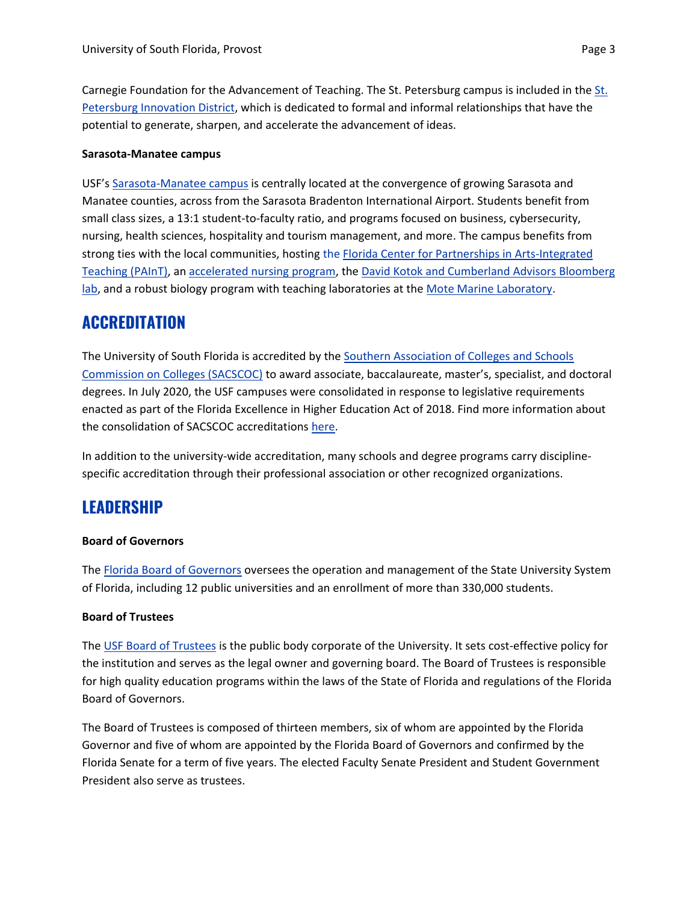Carnegie Foundation for the Advancement of Teaching. The [St.](https://www.stpeteinnovationdistrict.com/) Petersburg campus is included in the St. [Petersburg Innovation District,](https://www.stpeteinnovationdistrict.com/) which is dedicated to formal and informal relationships that have the potential to generate, sharpen, and accelerate the advancement of ideas.

#### **Sarasota-Manatee campus**

USF's [Sarasota-Manatee campus](https://www.sarasotamanatee.usf.edu/) is centrally located at the convergence of growing Sarasota and Manatee counties, across from the Sarasota Bradenton International Airport. Students benefit from small class sizes, a 13:1 student-to-faculty ratio, and programs focused on business, cybersecurity, nursing, health sciences, hospitality and tourism management, and more. The campus benefits from strong ties with the local communities, hosting the [Florida Center for Partnerships in Arts-Integrated](https://www.sarasotamanatee.usf.edu/academics/center-for-paint/)  [Teaching \(PAInT\),](https://www.sarasotamanatee.usf.edu/academics/center-for-paint/) an [accelerated nursing program,](https://health.usf.edu/nursing/undergraduate/programs/second-degree) the [David Kotok and Cumberland Advisors Bloomberg](https://www.usf.edu/business/centers/bloomberg-lab.aspx)  [lab,](https://www.usf.edu/business/centers/bloomberg-lab.aspx) and a robust biology program with teaching laboratories at the [Mote Marine Laboratory.](https://www.usf.edu/arts-sciences/departments/ib/research/motelab.aspx)

### **ACCREDITATION**

The University of South Florida is accredited by the [Southern Association of Colleges and Schools](https://www.sacscoc.org/)  [Commission on Colleges \(SACSCOC\)](https://www.sacscoc.org/) to award associate, baccalaureate, master's, specialist, and doctoral degrees. In July 2020, the USF campuses were consolidated in response to legislative requirements enacted as part of the Florida Excellence in Higher Education Act of 2018. Find more information about the consolidation of SACSCOC accreditations [here.](https://www.usf.edu/sacscoc-consolidation/index.aspx)

In addition to the university-wide accreditation, many schools and degree programs carry disciplinespecific accreditation through their professional association or other recognized organizations.

### **LEADERSHIP**

#### **Board of Governors**

The [Florida Board of Governors](https://www.flbog.edu/) oversees the operation and management of the State University System of Florida, including 12 public universities and an enrollment of more than 330,000 students.

### **Board of Trustees**

The [USF Board of Trustees](https://www.usf.edu/board-of-trustees/) is the public body corporate of the University. It sets cost-effective policy for the institution and serves as the legal owner and governing board. The Board of Trustees is responsible for high quality education programs within the laws of the State of Florida and regulations of the Florida Board of Governors.

The Board of Trustees is composed of thirteen members, six of whom are appointed by the Florida Governor and five of whom are appointed by the Florida Board of Governors and confirmed by the Florida Senate for a term of five years. The elected Faculty Senate President and Student Government President also serve as trustees.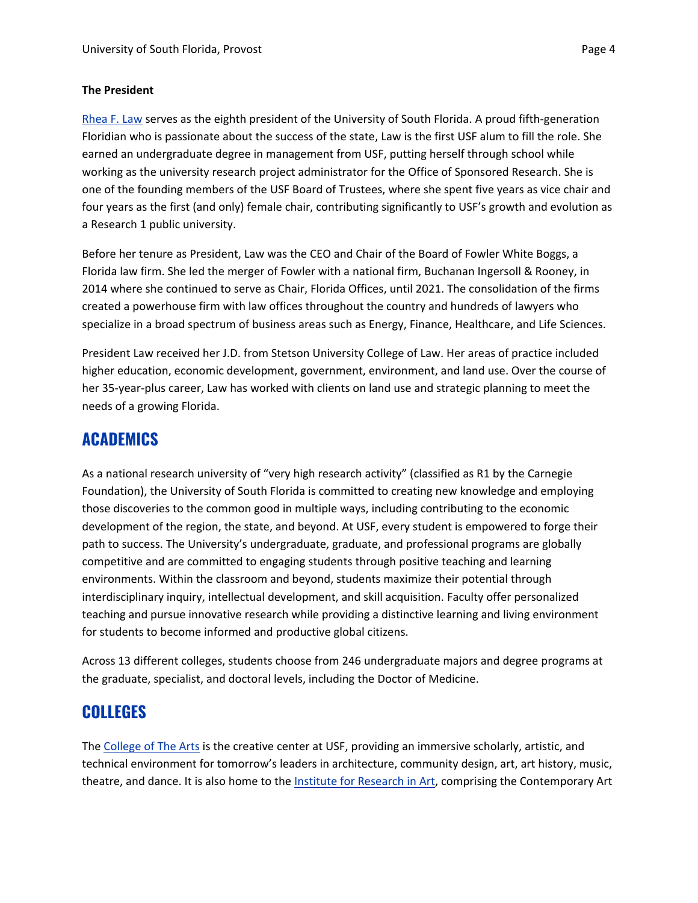### **The President**

[Rhea F. Law](https://www.usf.edu/president/about/index.aspx) serves as the eighth president of the University of South Florida. A proud fifth-generation Floridian who is passionate about the success of the state, Law is the first USF alum to fill the role. She earned an undergraduate degree in management from USF, putting herself through school while working as the university research project administrator for the Office of Sponsored Research. She is one of the founding members of the USF Board of Trustees, where she spent five years as vice chair and four years as the first (and only) female chair, contributing significantly to USF's growth and evolution as a Research 1 public university.

Before her tenure as President, Law was the CEO and Chair of the Board of Fowler White Boggs, a Florida law firm. She led the merger of Fowler with a national firm, Buchanan Ingersoll & Rooney, in 2014 where she continued to serve as Chair, Florida Offices, until 2021. The consolidation of the firms created a powerhouse firm with law offices throughout the country and hundreds of lawyers who specialize in a broad spectrum of business areas such as Energy, Finance, Healthcare, and Life Sciences.

President Law received her J.D. from Stetson University College of Law. Her areas of practice included higher education, economic development, government, environment, and land use. Over the course of her 35-year-plus career, Law has worked with clients on land use and strategic planning to meet the needs of a growing Florida.

### **ACADEMICS**

As a national research university of "very high research activity" (classified as R1 by the Carnegie Foundation), the University of South Florida is committed to creating new knowledge and employing those discoveries to the common good in multiple ways, including contributing to the economic development of the region, the state, and beyond. At USF, every student is empowered to forge their path to success. The University's undergraduate, graduate, and professional programs are globally competitive and are committed to engaging students through positive teaching and learning environments. Within the classroom and beyond, students maximize their potential through interdisciplinary inquiry, intellectual development, and skill acquisition. Faculty offer personalized teaching and pursue innovative research while providing a distinctive learning and living environment for students to become informed and productive global citizens.

Across 13 different colleges, students choose from 246 undergraduate majors and degree programs at the graduate, specialist, and doctoral levels, including the Doctor of Medicine.

### **COLLEGES**

The [College of The Arts](https://www.usf.edu/arts/index.aspx) is the creative center at USF, providing an immersive scholarly, artistic, and technical environment for tomorrow's leaders in architecture, community design, art, art history, music, theatre, and dance. It is also home to the [Institute for Research in Art,](http://ira.usf.edu/index.html) comprising the Contemporary Art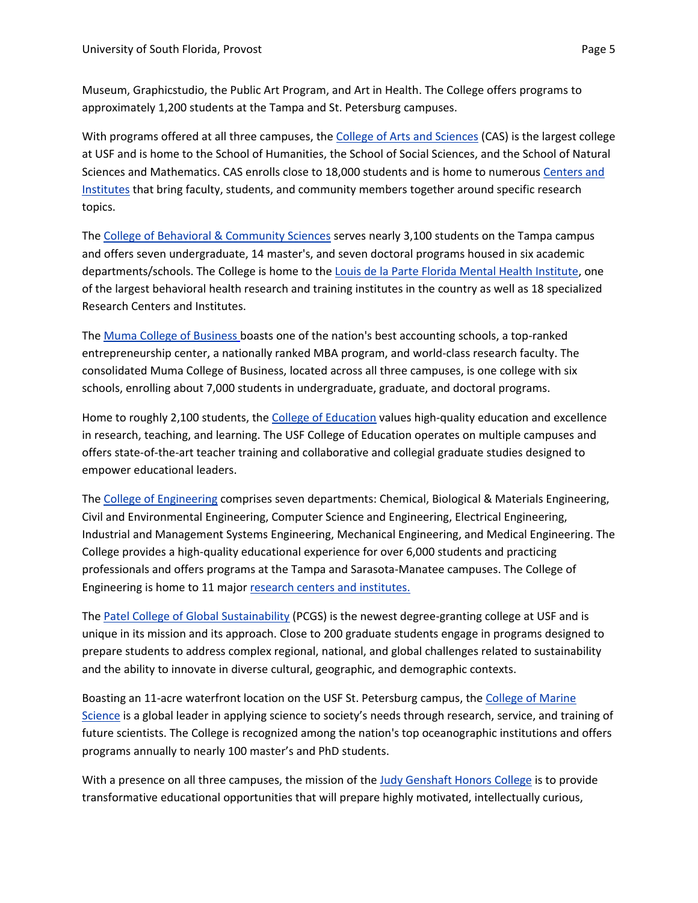Museum, Graphicstudio, the Public Art Program, and Art in Health. The College offers programs to approximately 1,200 students at the Tampa and St. Petersburg campuses.

With programs offered at all three campuses, the [College of Arts and Sciences](https://www.usf.edu/arts-sciences/) (CAS) is the largest college at USF and is home to the School of Humanities, the School of Social Sciences, and the School of Natural Sciences and Mathematics. CAS enrolls close to 18,000 students and is home to numerous [Centers and](https://www.usf.edu/arts-sciences/about/centers-and-institutes.aspx)  [Institutes](https://www.usf.edu/arts-sciences/about/centers-and-institutes.aspx) that bring faculty, students, and community members together around specific research topics.

The [College of Behavioral & Community Sciences](https://www.usf.edu/cbcs/index.aspx) serves nearly 3,100 students on the Tampa campus and offers seven undergraduate, 14 master's, and seven doctoral programs housed in six academic departments/schools. The College is home to the [Louis de la Parte Florida Mental Health Institute,](https://www.usf.edu/cbcs/fmhi/) one of the largest behavioral health research and training institutes in the country as well as 18 specialized Research Centers and Institutes.

The [Muma College of Business](https://www.usf.edu/business/) boasts one of the nation's best accounting schools, a top-ranked entrepreneurship center, a nationally ranked MBA program, and world-class research faculty. The consolidated Muma College of Business, located across all three campuses, is one college with six schools, enrolling about 7,000 students in undergraduate, graduate, and doctoral programs.

Home to roughly 2,100 students, th[e College of Education](https://www.usf.edu/education/index.aspx) values high-quality education and excellence in research, teaching, and learning. The USF College of Education operates on multiple campuses and offers state-of-the-art teacher training and collaborative and collegial graduate studies designed to empower educational leaders.

The [College of Engineering](https://www.usf.edu/engineering/) comprises seven departments: Chemical, Biological & Materials Engineering, Civil and Environmental Engineering, Computer Science and Engineering, Electrical Engineering, Industrial and Management Systems Engineering, Mechanical Engineering, and Medical Engineering. The College provides a high-quality educational experience for over 6,000 students and practicing professionals and offers programs at the Tampa and Sarasota-Manatee campuses. The College of Engineering is home to 11 major [research centers and institutes.](https://www.usf.edu/engineering/research/research-centers.aspx)

The [Patel College of Global Sustainability](https://www.usf.edu/pcgs/index.aspx) (PCGS) is the newest degree-granting college at USF and is unique in its mission and its approach. Close to 200 graduate students engage in programs designed to prepare students to address complex regional, national, and global challenges related to sustainability and the ability to innovate in diverse cultural, geographic, and demographic contexts.

Boasting an 11-acre waterfront location on the USF St. Petersburg campus, the [College of Marine](https://www.usf.edu/marine-science/)  [Science](https://www.usf.edu/marine-science/) is a global leader in applying science to society's needs through research, service, and training of future scientists. The College is recognized among the nation's top oceanographic institutions and offers programs annually to nearly 100 master's and PhD students.

With a presence on all three campuses, the mission of the [Judy Genshaft Honors College](https://www.usf.edu/honors/index.aspx) is to provide transformative educational opportunities that will prepare highly motivated, intellectually curious,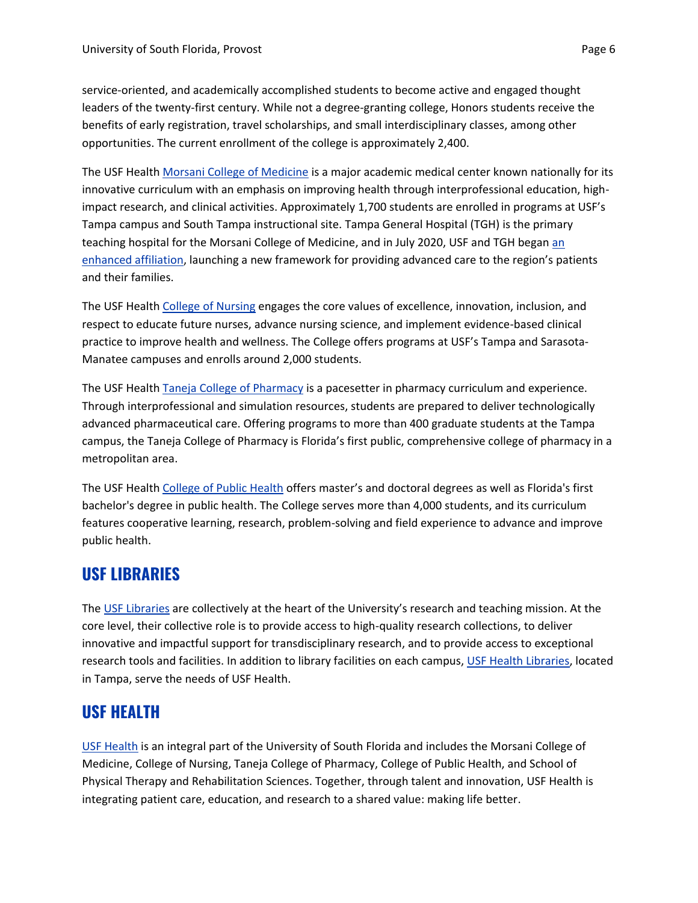service-oriented, and academically accomplished students to become active and engaged thought leaders of the twenty-first century. While not a degree-granting college, Honors students receive the benefits of early registration, travel scholarships, and small interdisciplinary classes, among other opportunities. The current enrollment of the college is approximately 2,400.

The USF Health [Morsani College of Medicine](https://health.usf.edu/medicine) is a major academic medical center known nationally for its innovative curriculum with an emphasis on improving health through interprofessional education, highimpact research, and clinical activities. Approximately 1,700 students are enrolled in programs at USF's Tampa campus and South Tampa instructional site. Tampa General Hospital (TGH) is the primary teaching hospital for the Morsani College of Medicine, and in July 2020, USF and TGH began [an](https://forgingourfuturetogether.com/)  [enhanced affiliation,](https://forgingourfuturetogether.com/) launching a new framework for providing advanced care to the region's patients and their families.

The USF Health [College of Nursing](https://health.usf.edu/nursing) engages the core values of excellence, innovation, inclusion, and respect to educate future nurses, advance nursing science, and implement evidence-based clinical practice to improve health and wellness. The College offers programs at USF's Tampa and Sarasota-Manatee campuses and enrolls around 2,000 students.

The USF Health [Taneja College of Pharmacy](https://health.usf.edu/pharmacy/index) is a pacesetter in pharmacy curriculum and experience. Through interprofessional and simulation resources, students are prepared to deliver technologically advanced pharmaceutical care. Offering programs to more than 400 graduate students at the Tampa campus, the Taneja College of Pharmacy is Florida's first public, comprehensive college of pharmacy in a metropolitan area.

The USF Health [College of Public Health](https://health.usf.edu/publichealth) offers master's and doctoral degrees as well as Florida's first bachelor's degree in public health. The College serves more than 4,000 students, and its curriculum features cooperative learning, research, problem-solving and field experience to advance and improve public health.

## **USF LIBRARIES**

The [USF Libraries](https://lib.usf.edu/) are collectively at the heart of the University's research and teaching mission. At the core level, their collective role is to provide access to high-quality research collections, to deliver innovative and impactful support for transdisciplinary research, and to provide access to exceptional research tools and facilities. In addition to library facilities on each campus, [USF Health Libraries,](https://health.usf.edu/libraries) located in Tampa, serve the needs of USF Health.

## **USF HEALTH**

[USF Health](https://health.usf.edu/) is an integral part of the University of South Florida and includes the Morsani College of Medicine, College of Nursing, Taneja College of Pharmacy, College of Public Health, and School of Physical Therapy and Rehabilitation Sciences. Together, through talent and innovation, USF Health is integrating patient care, education, and research to a shared value: making life better.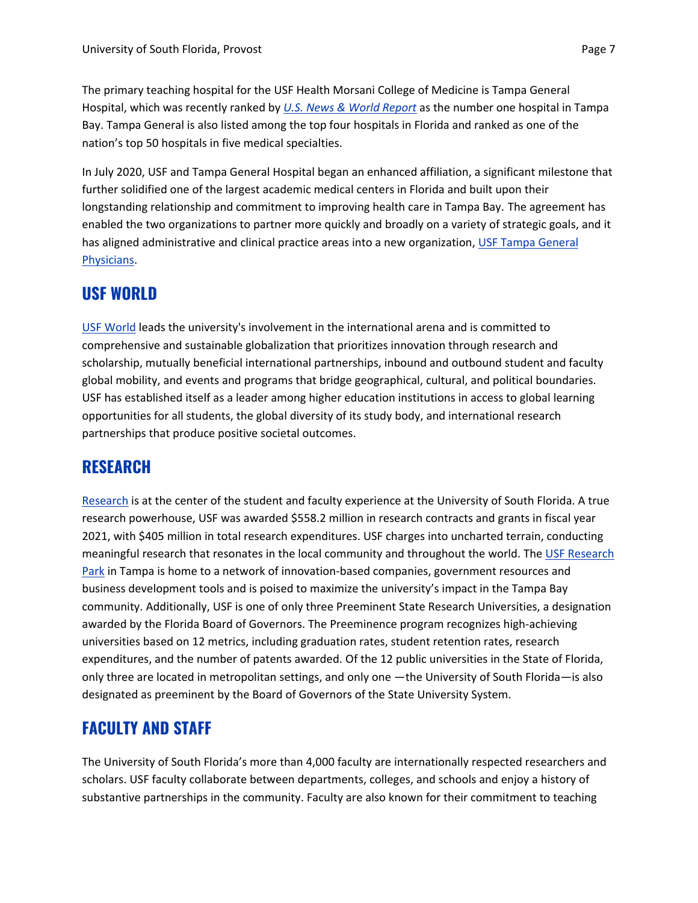The primary teaching hospital for the USF Health Morsani College of Medicine is Tampa General Hospital, which was recently ranked by *U.S. [News & World Report](https://health.usnews.com/best-hospitals/area/fl/tampa-general-hospital-6391060)* as the number one hospital in Tampa Bay. Tampa General is also listed among the top four hospitals in Florida and ranked as one of the nation's top 50 hospitals in five medical specialties.

In July 2020, USF and Tampa General Hospital began an enhanced affiliation, a significant milestone that further solidified one of the largest academic medical centers in Florida and built upon their longstanding relationship and commitment to improving health care in Tampa Bay. The agreement has enabled the two organizations to partner more quickly and broadly on a variety of strategic goals, and it has aligned administrative and clinical practice areas into a new organization, [USF Tampa General](https://forgingourfuturetogether.com/)  [Physicians.](https://forgingourfuturetogether.com/)

### **USF WORLD**

[USF World](https://www.usf.edu/world/about/) leads the university's involvement in the international arena and is committed to comprehensive and sustainable globalization that prioritizes innovation through research and scholarship, mutually beneficial international partnerships, inbound and outbound student and faculty global mobility, and events and programs that bridge geographical, cultural, and political boundaries. USF has established itself as a leader among higher education institutions in access to global learning opportunities for all students, the global diversity of its study body, and international research partnerships that produce positive societal outcomes.

### **RESEARCH**

[Research](https://www.usf.edu/research/index.aspx) is at the center of the student and faculty experience at the University of South Florida. A true research powerhouse, USF was awarded \$558.2 million in research contracts and grants in fiscal year 2021, with \$405 million in total research expenditures. USF charges into uncharted terrain, conducting meaningful research that resonates in the local community and throughout the world. The [USF Research](https://www.usf.edu/research-innovation/rf/research-park/index.aspx)  [Park](https://www.usf.edu/research-innovation/rf/research-park/index.aspx) in Tampa is home to a network of innovation-based companies, government resources and business development tools and is poised to maximize the university's impact in the Tampa Bay community. Additionally, USF is one of only three Preeminent State Research Universities, a designation awarded by the Florida Board of Governors. The Preeminence program recognizes high-achieving universities based on 12 metrics, including graduation rates, student retention rates, research expenditures, and the number of patents awarded. Of the 12 public universities in the State of Florida, only three are located in metropolitan settings, and only one —the University of South Florida—is also designated as preeminent by the Board of Governors of the State University System.

### **FACULTY AND STAFF**

The University of South Florida's more than 4,000 faculty are internationally respected researchers and scholars. USF faculty collaborate between departments, colleges, and schools and enjoy a history of substantive partnerships in the community. Faculty are also known for their commitment to teaching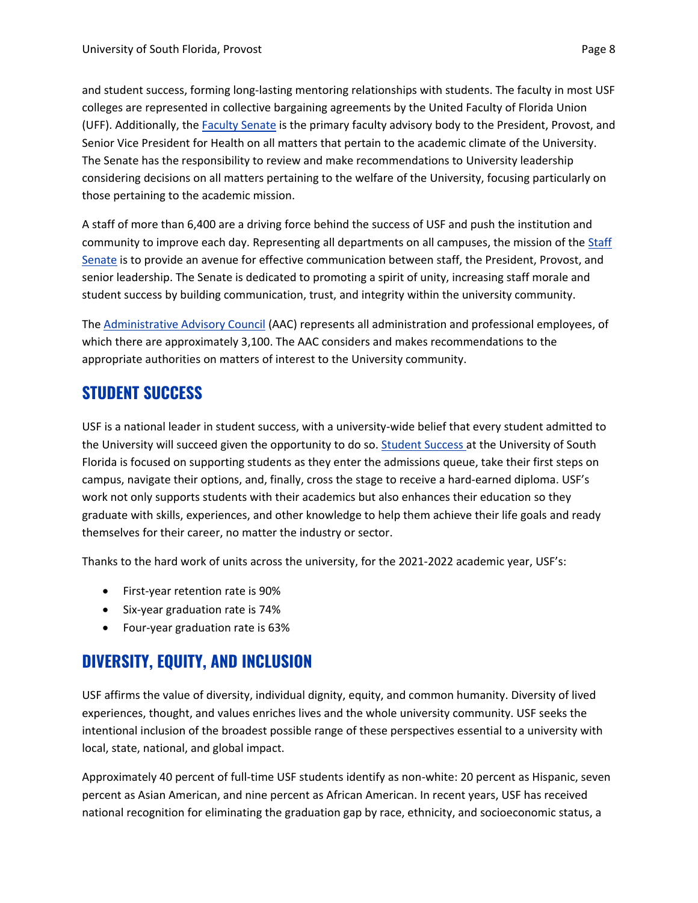those pertaining to the academic mission.

and student success, forming long-lasting mentoring relationships with students. The faculty in most USF colleges are represented in collective bargaining agreements by the United Faculty of Florida Union (UFF). Additionally, the [Faculty Senate](https://www.usf.edu/faculty-senate/) is the primary faculty advisory body to the President, Provost, and Senior Vice President for Health on all matters that pertain to the academic climate of the University. The Senate has the responsibility to review and make recommendations to University leadership considering decisions on all matters pertaining to the welfare of the University, focusing particularly on

A staff of more than 6,400 are a driving force behind the success of USF and push the institution and community to improve each day. Representing all departments on all campuses, the mission of the [Staff](https://www.usf.edu/staff-senate/index.aspx)  [Senate](https://www.usf.edu/staff-senate/index.aspx) is to provide an avenue for effective communication between staff, the President, Provost, and senior leadership. The Senate is dedicated to promoting a spirit of unity, increasing staff morale and student success by building communication, trust, and integrity within the university community.

The [Administrative Advisory Council](https://www.usf.edu/administrative-advisory-council/) (AAC) represents all administration and professional employees, of which there are approximately 3,100. The AAC considers and makes recommendations to the appropriate authorities on matters of interest to the University community.

## **STUDENT SUCCESS**

USF is a national leader in student success, with a university-wide belief that every student admitted to the University will succeed given the opportunity to do so. [Student Success](https://www.usf.edu/student-success/) at the University of South Florida is focused on supporting students as they enter the admissions queue, take their first steps on campus, navigate their options, and, finally, cross the stage to receive a hard-earned diploma. USF's work not only supports students with their academics but also enhances their education so they graduate with skills, experiences, and other knowledge to help them achieve their life goals and ready themselves for their career, no matter the industry or sector.

Thanks to the hard work of units across the university, for the 2021-2022 academic year, USF's:

- First-year retention rate is 90%
- Six-year graduation rate is 74%
- Four-year graduation rate is 63%

## **DIVERSITY, EQUITY, AND INCLUSION**

USF affirms the value of diversity, individual dignity, equity, and common humanity. Diversity of lived experiences, thought, and values enriches lives and the whole university community. USF seeks the intentional inclusion of the broadest possible range of these perspectives essential to a university with local, state, national, and global impact.

Approximately 40 percent of full-time USF students identify as non-white: 20 percent as Hispanic, seven percent as Asian American, and nine percent as African American. In recent years, USF has received national recognition for eliminating the graduation gap by race, ethnicity, and socioeconomic status, a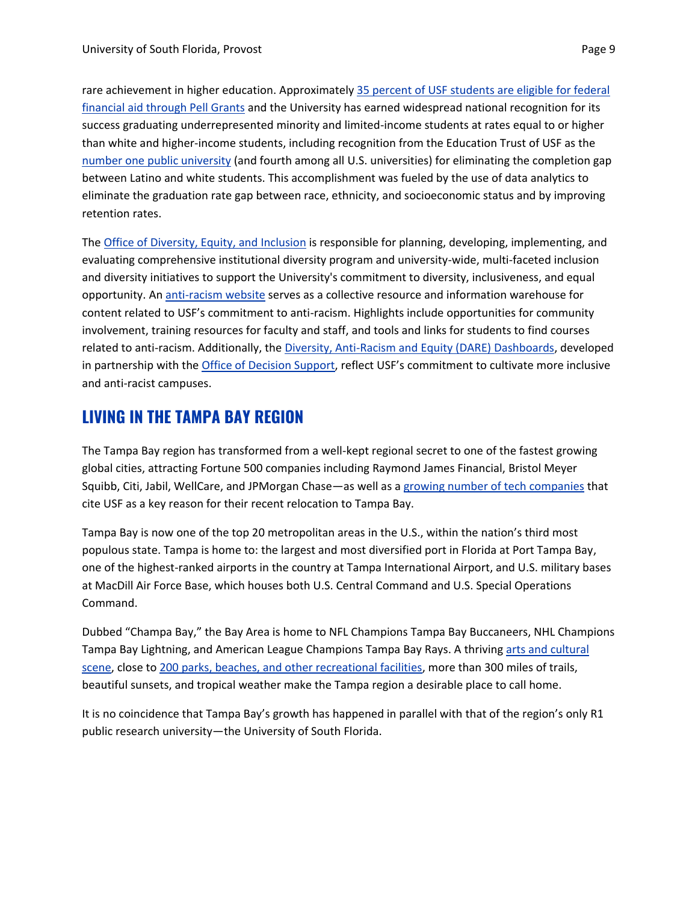rare achievement in higher education. Approximately 35 percent [of USF students are eligible for federal](https://www.usf.edu/news/2020/usf-expands-program-to-enhance-access-for-high-school-students-from-lower-income-backgrounds.aspx#:~:text=Approximately%2040%20percent%20of%20USF,white%20and%20higher%20income%20students.)  [financial aid through Pell Grants](https://www.usf.edu/news/2020/usf-expands-program-to-enhance-access-for-high-school-students-from-lower-income-backgrounds.aspx#:~:text=Approximately%2040%20percent%20of%20USF,white%20and%20higher%20income%20students.) and the University has earned widespread national recognition for its success graduating underrepresented minority and limited-income students at rates equal to or higher than white and higher-income students, including recognition from the Education Trust of USF as the [number one public university](https://foundation.usf.edu/what/news/usf-earns-top-honors-closing-graduation-gap) (and fourth among all U.S. universities) for eliminating the completion gap between Latino and white students. This accomplishment was fueled by the use of data analytics to eliminate the graduation rate gap between race, ethnicity, and socioeconomic status and by improving retention rates.

The Office of [Diversity, Equity, and Inclusion](https://www.usf.edu/diversity/) is responsible for planning, developing, implementing, and evaluating comprehensive institutional diversity program and university-wide, multi-faceted inclusion and diversity initiatives to support the University's commitment to diversity, inclusiveness, and equal opportunity. An [anti-racism website](https://www.usf.edu/president/anti-racism/index.aspx) serves as a collective resource and information warehouse for content related to USF's commitment to anti-racism. Highlights include opportunities for community involvement, training resources for faculty and staff, and tools and links for students to find courses related to anti-racism. Additionally, the [Diversity, Anti-Racism and Equity \(DARE\) Dashboards,](https://www.usf.edu/president/anti-racism/who-we-are/dare-dashboard.aspx) developed in partnership with the [Office of Decision Support,](https://www.usf.edu/ods/) reflect USF's commitment to cultivate more inclusive and anti-racist campuses.

### **LIVING IN THE TAMPA BAY REGION**

The Tampa Bay region has transformed from a well-kept regional secret to one of the fastest growing global cities, attracting Fortune 500 companies including Raymond James Financial, Bristol Meyer Squibb, Citi, Jabil, WellCare, and JPMorgan Chase—as well as a [growing number of tech companies](https://www.usf.edu/news/2021/tech-business-owners-credit-usf-talent-pipeline-for-decision-to-expand-and-relocate-to-tampa-bay.aspx) that cite USF as a key reason for their recent relocation to Tampa Bay.

Tampa Bay is now one of the top 20 metropolitan areas in the U.S., within the nation's third most populous state. Tampa is home to: the largest and most diversified port in Florida at Port Tampa Bay, one of the highest-ranked airports in the country at Tampa International Airport, and U.S. military bases at MacDill Air Force Base, which houses both U.S. Central Command and U.S. Special Operations Command.

Dubbed "Champa Bay," the Bay Area is home to NFL Champions Tampa Bay Buccaneers, NHL Champions Tampa Bay Lightning, and American League Champions Tampa Bay Rays. A thriving [arts and cultural](https://www.visittampabay.com/things-to-do/tampa-arts-culture/)  [scene,](https://www.visittampabay.com/things-to-do/tampa-arts-culture/) close to [200 parks, beaches, and other recreational facilities,](https://www.tampa.gov/parks-and-recreation/parks-and-facilities) more than 300 miles of trails, beautiful sunsets, and tropical weather make the Tampa region a desirable place to call home.

It is no coincidence that Tampa Bay's growth has happened in parallel with that of the region's only R1 public research university—the University of South Florida.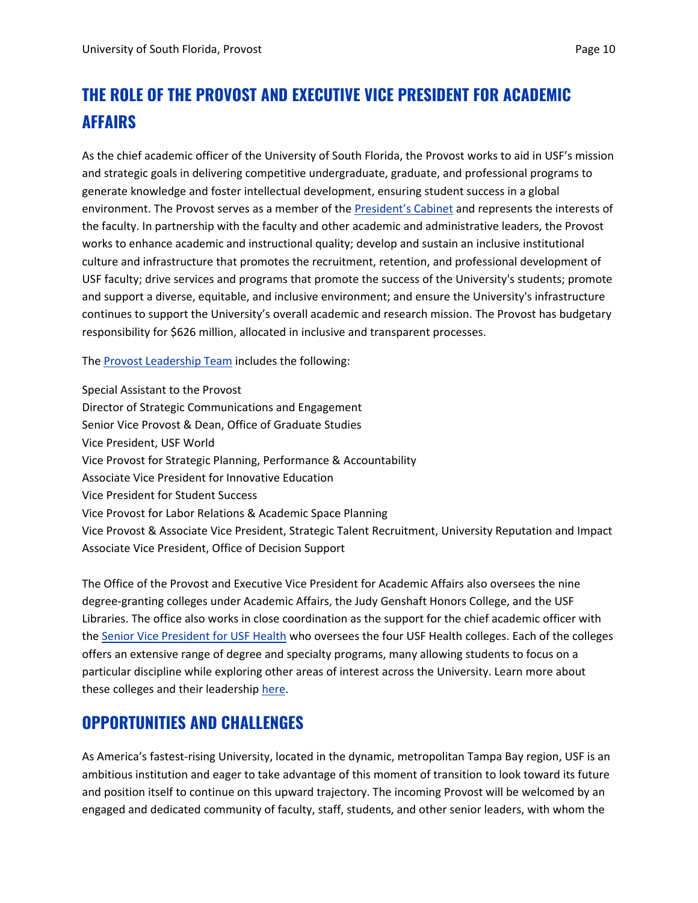# **THE ROLE OF THE PROVOST AND EXECUTIVE VICE PRESIDENT FOR ACADEMIC AFFAIRS**

As the chief academic officer of the University of South Florida, the Provost works to aid in USF's mission and strategic goals in delivering competitive undergraduate, graduate, and professional programs to generate knowledge and foster intellectual development, ensuring student success in a global environment. The Provost serves as a member of the [President's Cabinet](https://www.usf.edu/president/leadership-team/index.aspx) and represents the interests of the faculty. In partnership with the faculty and other academic and administrative leaders, the Provost works to enhance academic and instructional quality; develop and sustain an inclusive institutional culture and infrastructure that promotes the recruitment, retention, and professional development of USF faculty; drive services and programs that promote the success of the University's students; promote and support a diverse, equitable, and inclusive environment; and ensure the University's infrastructure continues to support the University's overall academic and research mission. The Provost has budgetary responsibility for \$626 million, allocated in inclusive and transparent processes.

The [Provost Leadership Team](https://www.usf.edu/provost/about/provost-leadership-team.aspx) includes the following:

Special Assistant to the Provost Director of Strategic Communications and Engagement Senior Vice Provost & Dean, Office of Graduate Studies Vice President, USF World Vice Provost for Strategic Planning, Performance & Accountability Associate Vice President for Innovative Education Vice President for Student Success Vice Provost for Labor Relations & Academic Space Planning Vice Provost & Associate Vice President, Strategic Talent Recruitment, University Reputation and Impact Associate Vice President, Office of Decision Support

The Office of the Provost and Executive Vice President for Academic Affairs also oversees the nine degree-granting colleges under Academic Affairs, the Judy Genshaft Honors College, and the USF Libraries. The office also works in close coordination as the support for the chief academic officer with the [Senior Vice President](https://health.usf.edu/VP/leadership/lockwood) for USF Health who oversees the four USF Health colleges. Each of the colleges offers an extensive range of degree and specialty programs, many allowing students to focus on a particular discipline while exploring other areas of interest across the University. Learn more about these colleges and their leadership [here.](https://www.usf.edu/provost/about/colleges-deans.aspx)

### **OPPORTUNITIES AND CHALLENGES**

As America's fastest-rising University, located in the dynamic, metropolitan Tampa Bay region, USF is an ambitious institution and eager to take advantage of this moment of transition to look toward its future and position itself to continue on this upward trajectory. The incoming Provost will be welcomed by an engaged and dedicated community of faculty, staff, students, and other senior leaders, with whom the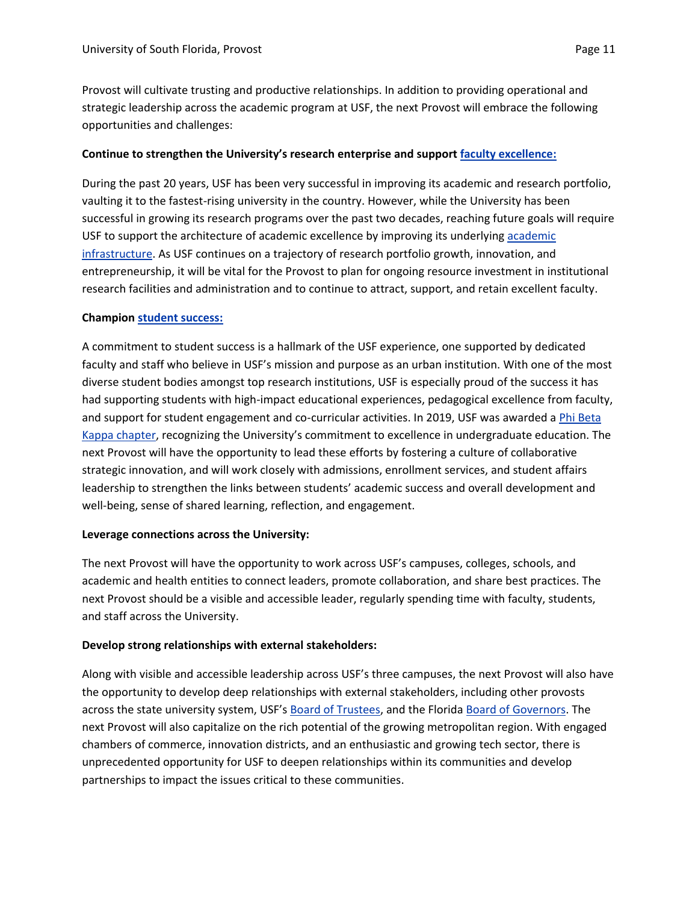Provost will cultivate trusting and productive relationships. In addition to providing operational and strategic leadership across the academic program at USF, the next Provost will embrace the following opportunities and challenges:

### **Continue to strengthen the University's research enterprise and support [faculty excellence:](https://www.usf.edu/strategic-plan/about/core-commitments/faculty-excellence.aspx)**

During the past 20 years, USF has been very successful in improving its academic and research portfolio, vaulting it to the fastest-rising university in the country. However, while the University has been successful in growing its research programs over the past two decades, reaching future goals will require USF to support the architecture of [academic](https://www.usf.edu/strategic-plan/about/core-commitments/institutional-infrastructure.aspx) excellence by improving its underlying academic [infrastructure.](https://www.usf.edu/strategic-plan/about/core-commitments/institutional-infrastructure.aspx) As USF continues on a trajectory of research portfolio growth, innovation, and entrepreneurship, it will be vital for the Provost to plan for ongoing resource investment in institutional research facilities and administration and to continue to attract, support, and retain excellent faculty.

#### **Champion [student](https://www.usf.edu/strategic-plan/about/core-commitments/student-success.aspx) success:**

A commitment to student success is a hallmark of the USF experience, one supported by dedicated faculty and staff who believe in USF's mission and purpose as an urban institution. With one of the most diverse student bodies amongst top research institutions, USF is especially proud of the success it has had supporting students with high-impact educational experiences, pedagogical excellence from faculty, and support for student engagement and co-curricular activities. In 2019, USF was awarded [a Phi Beta](https://www.usf.edu/phi-beta-kappa/index.aspx)  [Kappa chapter,](https://www.usf.edu/phi-beta-kappa/index.aspx) recognizing the University's commitment to excellence in undergraduate education. The next Provost will have the opportunity to lead these efforts by fostering a culture of collaborative strategic innovation, and will work closely with admissions, enrollment services, and student affairs leadership to strengthen the links between students' academic success and overall development and well-being, sense of shared learning, reflection, and engagement.

#### **Leverage connections across the University:**

The next Provost will have the opportunity to work across USF's campuses, colleges, schools, and academic and health entities to connect leaders, promote collaboration, and share best practices. The next Provost should be a visible and accessible leader, regularly spending time with faculty, students, and staff across the University.

### **Develop strong relationships with external stakeholders:**

Along with visible and accessible leadership across USF's three campuses, the next Provost will also have the opportunity to develop deep relationships with external stakeholders, including other provosts across the state university system, USF's [Board of Trustees,](https://www.usf.edu/board-of-trustees/about/trustees.aspx) and the Florida [Board of Governors.](https://www.flbog.edu/) The next Provost will also capitalize on the rich potential of the growing metropolitan region. With engaged chambers of commerce, innovation districts, and an enthusiastic and growing tech sector, there is unprecedented opportunity for USF to deepen relationships within its communities and develop partnerships to impact the issues critical to these communities.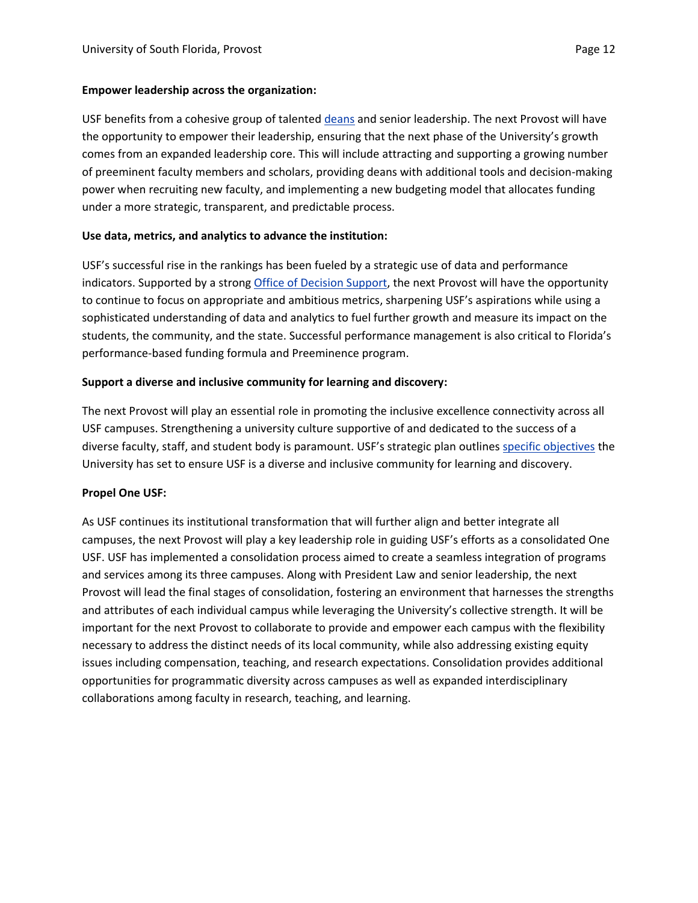#### **Empower leadership across the organization:**

USF benefits from a cohesive group of talente[d deans](https://www.usf.edu/provost/about/colleges-deans.aspx) and senior leadership. The next Provost will have the opportunity to empower their leadership, ensuring that the next phase of the University's growth comes from an expanded leadership core. This will include attracting and supporting a growing number of preeminent faculty members and scholars, providing deans with additional tools and decision-making power when recruiting new faculty, and implementing a new budgeting model that allocates funding under a more strategic, transparent, and predictable process.

### **Use data, metrics, and analytics to advance the institution:**

USF's successful rise in the rankings has been fueled by a strategic use of data and performance indicators. Supported by a strong **Office of Decision Support**, the next Provost will have the opportunity to continue to focus on appropriate and ambitious metrics, sharpening USF's aspirations while using a sophisticated understanding of data and analytics to fuel further growth and measure its impact on the students, the community, and the state. Successful performance management is also critical to Florida's performance-based funding formula and Preeminence program.

#### **Support a diverse and inclusive community for learning and discovery:**

The next Provost will play an essential role in promoting the inclusive excellence connectivity across all USF campuses. Strengthening a university culture supportive of and dedicated to the success of a diverse faculty, staff, and student body is paramount. USF's strategic plan outlines [specific objectives](https://www.usf.edu/strategic-plan/goals/goal-four.aspx) the University has set to ensure USF is a diverse and inclusive community for learning and discovery.

#### **Propel One USF:**

As USF continues its institutional transformation that will further align and better integrate all campuses, the next Provost will play a key leadership role in guiding USF's efforts as a consolidated One USF. USF has implemented a consolidation process aimed to create a seamless integration of programs and services among its three campuses. Along with President Law and senior leadership, the next Provost will lead the final stages of consolidation, fostering an environment that harnesses the strengths and attributes of each individual campus while leveraging the University's collective strength. It will be important for the next Provost to collaborate to provide and empower each campus with the flexibility necessary to address the distinct needs of its local community, while also addressing existing equity issues including compensation, teaching, and research expectations. Consolidation provides additional opportunities for programmatic diversity across campuses as well as expanded interdisciplinary collaborations among faculty in research, teaching, and learning.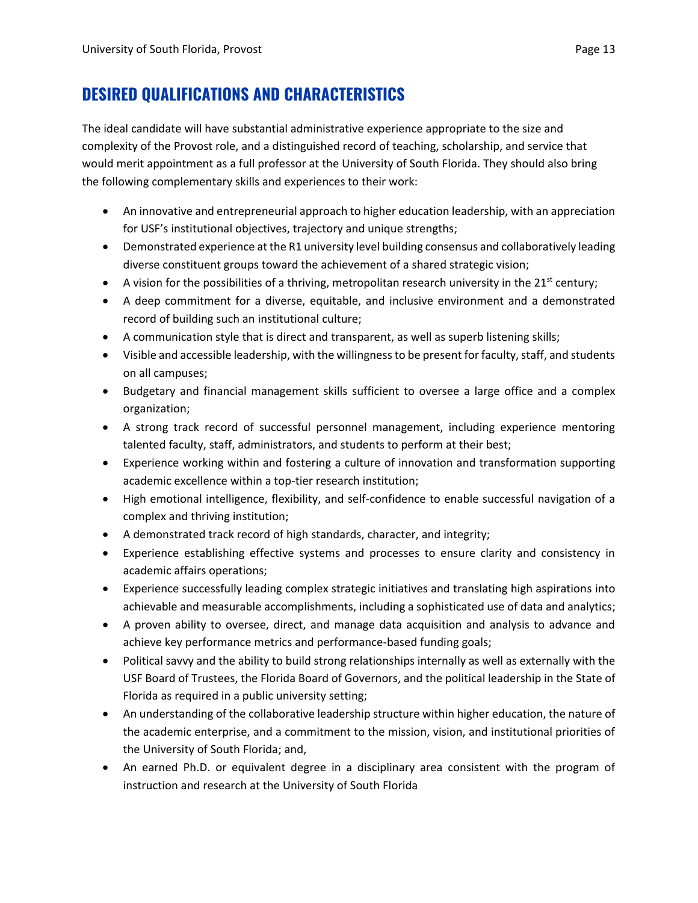## **DESIRED QUALIFICATIONS AND CHARACTERISTICS**

The ideal candidate will have substantial administrative experience appropriate to the size and complexity of the Provost role, and a distinguished record of teaching, scholarship, and service that would merit appointment as a full professor at the University of South Florida. They should also bring the following complementary skills and experiences to their work:

- An innovative and entrepreneurial approach to higher education leadership, with an appreciation for USF's institutional objectives, trajectory and unique strengths;
- Demonstrated experience at the R1 university level building consensus and collaboratively leading diverse constituent groups toward the achievement of a shared strategic vision;
- A vision for the possibilities of a thriving, metropolitan research university in the  $21<sup>st</sup>$  century;
- A deep commitment for a diverse, equitable, and inclusive environment and a demonstrated record of building such an institutional culture;
- A communication style that is direct and transparent, as well as superb listening skills;
- Visible and accessible leadership, with the willingness to be present for faculty, staff, and students on all campuses;
- Budgetary and financial management skills sufficient to oversee a large office and a complex organization;
- A strong track record of successful personnel management, including experience mentoring talented faculty, staff, administrators, and students to perform at their best;
- Experience working within and fostering a culture of innovation and transformation supporting academic excellence within a top-tier research institution;
- High emotional intelligence, flexibility, and self-confidence to enable successful navigation of a complex and thriving institution;
- A demonstrated track record of high standards, character, and integrity;
- Experience establishing effective systems and processes to ensure clarity and consistency in academic affairs operations;
- Experience successfully leading complex strategic initiatives and translating high aspirations into achievable and measurable accomplishments, including a sophisticated use of data and analytics;
- A proven ability to oversee, direct, and manage data acquisition and analysis to advance and achieve key performance metrics and performance-based funding goals;
- Political savvy and the ability to build strong relationships internally as well as externally with the USF Board of Trustees, the Florida Board of Governors, and the political leadership in the State of Florida as required in a public university setting;
- An understanding of the collaborative leadership structure within higher education, the nature of the academic enterprise, and a commitment to the mission, vision, and institutional priorities of the University of South Florida; and,
- An earned Ph.D. or equivalent degree in a disciplinary area consistent with the program of instruction and research at the University of South Florida